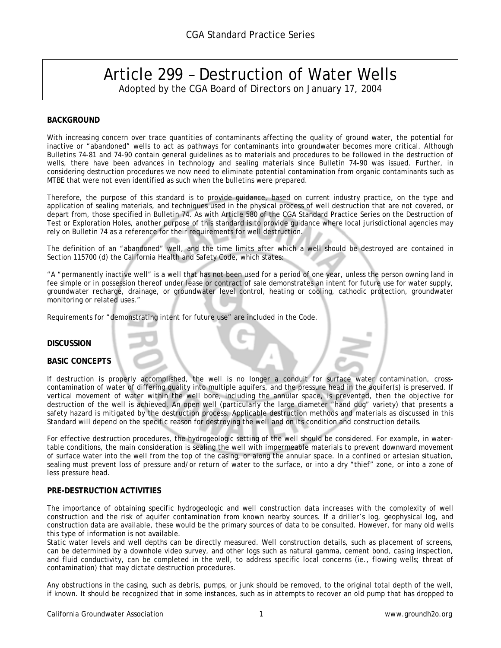# Article 299 – Destruction of Water Wells Adopted by the CGA Board of Directors on January 17, 2004

# **BACKGROUND**

With increasing concern over trace quantities of contaminants affecting the quality of ground water, the potential for inactive or "abandoned" wells to act as pathways for contaminants into groundwater becomes more critical. Although Bulletins 74-81 and 74-90 contain general guidelines as to materials and procedures to be followed in the destruction of wells, there have been advances in technology and sealing materials since Bulletin 74-90 was issued. Further, in considering destruction procedures we now need to eliminate potential contamination from organic contaminants such as MTBE that were not even identified as such when the bulletins were prepared.

Therefore, the purpose of this standard is to provide guidance, based on current industry practice, on the type and application of sealing materials, and techniques used in the physical process of well destruction that are not covered, or depart from, those specified in Bulletin 74. As with Article 580 of the CGA Standard Practice Series on the Destruction of Test or Exploration Holes, another purpose of this standard is to provide guidance where local jurisdictional agencies may rely on Bulletin 74 as a reference for their requirements for well destruction.

The definition of an "abandoned" well, and the time limits after which a well should be destroyed are contained in Section 115700 (d) the California Health and Safety Code, which states:

"A "permanently inactive well" is a well that has not been used for a period of one year, unless the person owning land in fee simple or in possession thereof under lease or contract of sale demonstrates an intent for future use for water supply, groundwater recharge, drainage, or groundwater level control, heating or cooling, cathodic protection, groundwater monitoring or related uses."

Requirements for "demonstrating intent for future use" are included in the Code.

## **DISCUSSION**

# **BASIC CONCEPTS**

If destruction is properly accomplished, the well is no longer a conduit for surface water contamination, crosscontamination of water of differing quality into multiple aquifers, and the pressure head in the aquifer(s) is preserved. If vertical movement of water within the well bore, including the annular space, is prevented, then the objective for destruction of the well is achieved. An open well (particularly the large diameter "hand dug" variety) that presents a safety hazard is mitigated by the destruction process. Applicable destruction methods and materials as discussed in this Standard will depend on the specific reason for destroying the well and on its condition and construction details.

For effective destruction procedures, the hydrogeologic setting of the well should be considered. For example, in watertable conditions, the main consideration is sealing the well with impermeable materials to prevent downward movement of surface water into the well from the top of the casing, or along the annular space. In a confined or artesian situation, sealing must prevent loss of pressure and/or return of water to the surface, or into a dry "thief" zone, or into a zone of less pressure head.

# **PRE-DESTRUCTION ACTIVITIES**

The importance of obtaining specific hydrogeologic and well construction data increases with the complexity of well construction and the risk of aquifer contamination from known nearby sources. If a driller's log, geophysical log, and construction data are available, these would be the primary sources of data to be consulted. However, for many old wells this type of information is not available.

Static water levels and well depths can be directly measured. Well construction details, such as placement of screens, can be determined by a downhole video survey, and other logs such as natural gamma, cement bond, casing inspection, and fluid conductivity, can be completed in the well, to address specific local concerns (ie., flowing wells; threat of contamination) that may dictate destruction procedures.

Any obstructions in the casing, such as debris, pumps, or junk should be removed, to the original total depth of the well, if known. It should be recognized that in some instances, such as in attempts to recover an old pump that has dropped to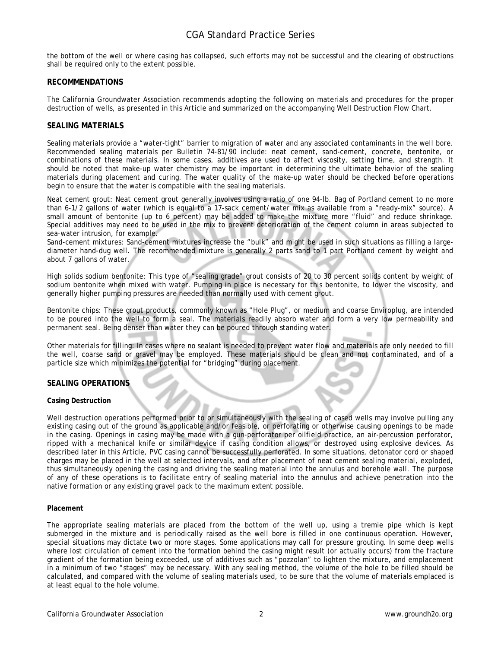# CGA Standard Practice Series

the bottom of the well or where casing has collapsed, such efforts may not be successful and the clearing of obstructions shall be required only to the extent possible.

# **RECOMMENDATIONS**

The California Groundwater Association recommends adopting the following on materials and procedures for the proper destruction of wells, as presented in this Article and summarized on the accompanying Well Destruction Flow Chart.

# **SEALING MATERIALS**

Sealing materials provide a "water-tight" barrier to migration of water and any associated contaminants in the well bore. Recommended sealing materials per Bulletin 74-81/90 include: neat cement, sand-cement, concrete, bentonite, or combinations of these materials. In some cases, additives are used to affect viscosity, setting time, and strength. It should be noted that make-up water chemistry may be important in determining the ultimate behavior of the sealing materials during placement and curing. The water quality of the make-up water should be checked before operations begin to ensure that the water is compatible with the sealing materials.

Neat cement grout: Neat cement grout generally involves using a ratio of one 94-lb. Bag of Portland cement to no more than 6-1/2 gallons of water (which is equal to a 17-sack cement/water mix as available from a "ready-mix" source). A small amount of bentonite (up to 6 percent) may be added to make the mixture more "fluid" and reduce shrinkage. Special additives may need to be used in the mix to prevent deterioration of the cement column in areas subjected to sea-water intrusion, for example.

Sand-cement mixtures: Sand-cement mixtures increase the "bulk" and might be used in such situations as filling a largediameter hand-dug well. The recommended mixture is generally 2 parts sand to 1 part Portland cement by weight and about 7 gallons of water.

High solids sodium bentonite: This type of "sealing grade" grout consists of 20 to 30 percent solids content by weight of sodium bentonite when mixed with water. Pumping in place is necessary for this bentonite, to lower the viscosity, and generally higher pumping pressures are needed than normally used with cement grout.

Bentonite chips: These grout products, commonly known as "Hole Plug", or medium and coarse Enviroplug, are intended to be poured into the well to form a seal. The materials readily absorb water and form a very low permeability and permanent seal. Being denser than water they can be poured through standing water.

Other materials for filling: In cases where no sealant is needed to prevent water flow and materials are only needed to fill the well, coarse sand or gravel may be employed. These materials should be clean and not contaminated, and of a particle size which minimizes the potential for "bridging" during placement.

# **SEALING OPERATIONS**

## **Casing Destruction**

Well destruction operations performed prior to or simultaneously with the sealing of cased wells may involve pulling any existing casing out of the ground as applicable and/or feasible, or perforating or otherwise causing openings to be made in the casing. Openings in casing may be made with a gun-perforator per oilfield practice, an air-percussion perforator, ripped with a mechanical knife or similar device if casing condition allows, or destroyed using explosive devices. As described later in this Article, PVC casing cannot be successfully perforated. In some situations, detonator cord or shaped charges may be placed in the well at selected intervals, and after placement of neat cement sealing material, exploded, thus simultaneously opening the casing and driving the sealing material into the annulus and borehole wall. The purpose of any of these operations is to facilitate entry of sealing material into the annulus and achieve penetration into the native formation or any existing gravel pack to the maximum extent possible.

## **Placement**

The appropriate sealing materials are placed from the bottom of the well up, using a tremie pipe which is kept submerged in the mixture and is periodically raised as the well bore is filled in one continuous operation. However, special situations may dictate two or more stages. Some applications may call for pressure grouting. In some deep wells where lost circulation of cement into the formation behind the casing might result (or actually occurs) from the fracture gradient of the formation being exceeded, use of additives such as "pozzolan" to lighten the mixture, and emplacement in a minimum of two "stages" may be necessary. With any sealing method, the volume of the hole to be filled should be calculated, and compared with the volume of sealing materials used, to be sure that the volume of materials emplaced is at least equal to the hole volume.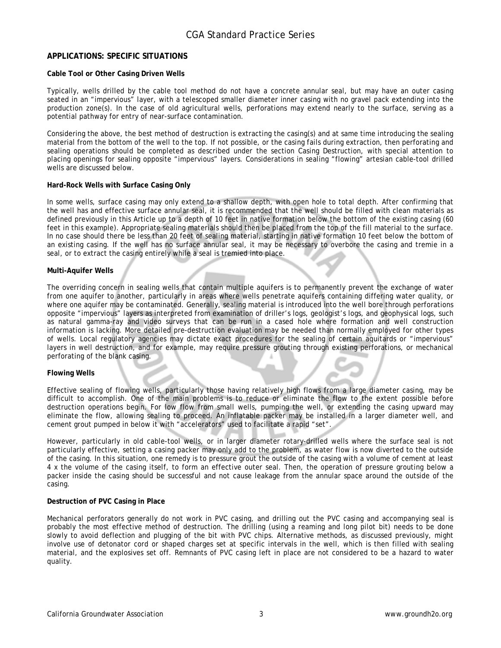# **APPLICATIONS: SPECIFIC SITUATIONS**

# **Cable Tool or Other Casing Driven Wells**

Typically, wells drilled by the cable tool method do not have a concrete annular seal, but may have an outer casing seated in an "impervious" layer, with a telescoped smaller diameter inner casing with no gravel pack extending into the production zone(s). In the case of old agricultural wells, perforations may extend nearly to the surface, serving as a potential pathway for entry of near-surface contamination.

Considering the above, the best method of destruction is extracting the casing(s) and at same time introducing the sealing material from the bottom of the well to the top. If not possible, or the casing fails during extraction, then perforating and sealing operations should be completed as described under the section Casing Destruction, with special attention to placing openings for sealing opposite "impervious" layers. Considerations in sealing "flowing" artesian cable-tool drilled wells are discussed below.

# **Hard-Rock Wells with Surface Casing Only**

In some wells, surface casing may only extend to a shallow depth, with open hole to total depth. After confirming that the well has and effective surface annular seal, it is recommended that the well should be filled with clean materials as defined previously in this Article up to a depth of 10 feet in native formation below the bottom of the existing casing (60 feet in this example). Appropriate sealing materials should then be placed from the top of the fill material to the surface. In no case should there be less than 20 feet of sealing material, starting in native formation 10 feet below the bottom of an existing casing. If the well has no surface annular seal, it may be necessary to overbore the casing and tremie in a seal, or to extract the casing entirely while a seal is tremied into place.

# **Multi-Aquifer Wells**

The overriding concern in sealing wells that contain multiple aquifers is to permanently prevent the exchange of water from one aquifer to another, particularly in areas where wells penetrate aquifers containing differing water quality, or where one aquifer may be contaminated. Generally, sealing material is introduced into the well bore through perforations opposite "impervious" layers as interpreted from examination of driller's logs, geologist's logs, and geophysical logs, such as natural gamma-ray and video surveys that can be run in a cased hole where formation and well construction information is lacking. More detailed pre-destruction evaluation may be needed than normally employed for other types of wells. Local regulatory agencies may dictate exact procedures for the sealing of certain aquitards or "impervious" layers in well destruction, and for example, may require pressure grouting through existing perforations, or mechanical perforating of the blank casing.

## **Flowing Wells**

Effective sealing of flowing wells, particularly those having relatively high flows from a large diameter casing, may be difficult to accomplish. One of the main problems is to reduce or eliminate the flow to the extent possible before destruction operations begin. For low flow from small wells, pumping the well, or extending the casing upward may eliminate the flow, allowing sealing to proceed. An inflatable packer may be installed in a larger diameter well, and cement grout pumped in below it with "accelerators" used to facilitate a rapid "set".

However, particularly in old cable-tool wells, or in larger diameter rotary-drilled wells where the surface seal is not particularly effective, setting a casing packer may only add to the problem, as water flow is now diverted to the outside of the casing. In this situation, one remedy is to pressure grout the outside of the casing with a volume of cement at least 4 x the volume of the casing itself, to form an effective outer seal. Then, the operation of pressure grouting below a packer inside the casing should be successful and not cause leakage from the annular space around the outside of the casing.

## **Destruction of PVC Casing in Place**

Mechanical perforators generally do not work in PVC casing, and drilling out the PVC casing and accompanying seal is probably the most effective method of destruction. The drilling (using a reaming and long pilot bit) needs to be done slowly to avoid deflection and plugging of the bit with PVC chips. Alternative methods, as discussed previously, might involve use of detonator cord or shaped charges set at specific intervals in the well, which is then filled with sealing material, and the explosives set off. Remnants of PVC casing left in place are not considered to be a hazard to water quality.